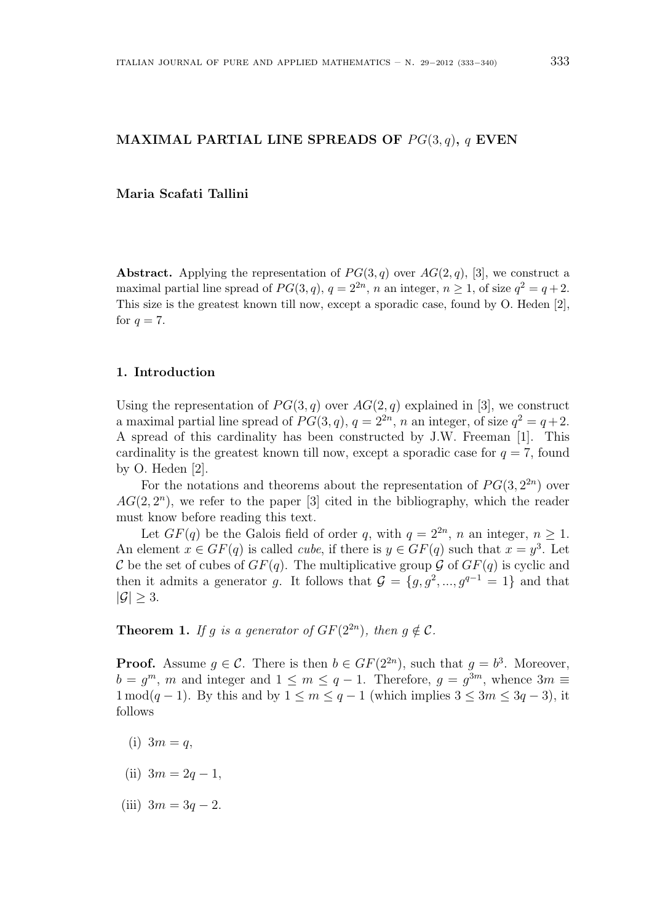## MAXIMAL PARTIAL LINE SPREADS OF  $PG(3, q)$ , q EVEN

Maria Scafati Tallini

Abstract. Applying the representation of  $PG(3, q)$  over  $AG(2, q)$ , [3], we construct a maximal partial line spread of  $PG(3, q)$ ,  $q = 2^{2n}$ , n an integer,  $n \ge 1$ , of size  $q^2 = q + 2$ . This size is the greatest known till now, except a sporadic case, found by O. Heden [2], for  $q = 7$ .

### 1. Introduction

Using the representation of  $PG(3, q)$  over  $AG(2, q)$  explained in [3], we construct a maximal partial line spread of  $PG(3, q)$ ,  $q = 2^{2n}$ , n an integer, of size  $q^2 = q + 2$ . A spread of this cardinality has been constructed by J.W. Freeman [1]. This cardinality is the greatest known till now, except a sporadic case for  $q = 7$ , found by O. Heden  $[2]$ .

For the notations and theorems about the representation of  $PG(3, 2^{2n})$  over  $AG(2, 2<sup>n</sup>)$ , we refer to the paper [3] cited in the bibliography, which the reader must know before reading this text.

Let  $GF(q)$  be the Galois field of order q, with  $q = 2^{2n}$ , n an integer,  $n \ge 1$ . An element  $x \in GF(q)$  is called *cube*, if there is  $y \in GF(q)$  such that  $x = y^3$ . Let C be the set of cubes of  $GF(q)$ . The multiplicative group G of  $GF(q)$  is cyclic and then it admits a generator g. It follows that  $\mathcal{G} = \{g, g^2, ..., g^{q-1} = 1\}$  and that  $|\mathcal{G}| \geq 3$ .

**Theorem 1.** If g is a generator of  $GF(2^{2n})$ , then  $g \notin C$ .

**Proof.** Assume  $g \in \mathcal{C}$ . There is then  $b \in GF(2^{2n})$ , such that  $g = b^3$ . Moreover,  $b = g^m$ , m and integer and  $1 \le m \le q-1$ . Therefore,  $g = g^{3m}$ , whence  $3m \equiv$  $1 \mod (q-1)$ . By this and by  $1 \leq m \leq q-1$  (which implies  $3 \leq 3m \leq 3q-3$ ), it follows

- (i)  $3m = q$ ,
- (ii)  $3m = 2q 1$ ,
- (iii)  $3m = 3q 2$ .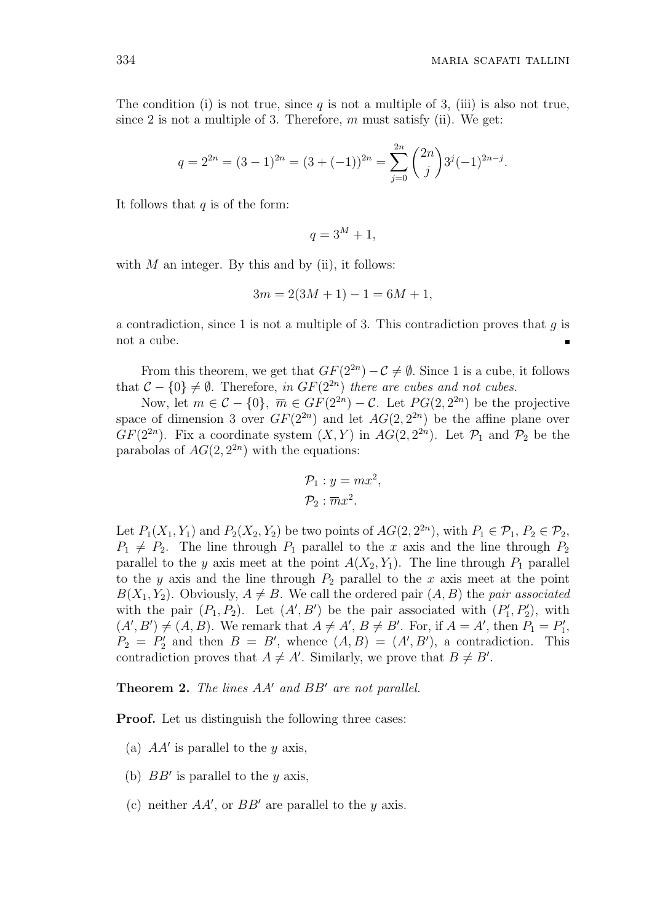The condition (i) is not true, since q is not a multiple of 3, (iii) is also not true, since 2 is not a multiple of 3. Therefore,  $m$  must satisfy (ii). We get:

$$
q = 2^{2n} = (3-1)^{2n} = (3+(-1))^{2n} = \sum_{j=0}^{2n} {2n \choose j} 3^j (-1)^{2n-j}.
$$

It follows that  $q$  is of the form:

$$
q = 3^M + 1,
$$

with  $M$  an integer. By this and by (ii), it follows:

$$
3m = 2(3M + 1) - 1 = 6M + 1,
$$

a contradiction, since 1 is not a multiple of 3. This contradiction proves that  $q$  is not a cube.

From this theorem, we get that  $GF(2^{2n}) - C \neq \emptyset$ . Since 1 is a cube, it follows that  $C - \{0\} \neq \emptyset$ . Therefore, in  $GF(2^{2n})$  there are cubes and not cubes.

Now, let  $m \in \mathcal{C} - \{0\}, \ \overline{m} \in GF(2^{2n}) - \mathcal{C}$ . Let  $PG(2, 2^{2n})$  be the projective space of dimension 3 over  $GF(2^{2n})$  and let  $AG(2, 2^{2n})$  be the affine plane over  $GF(2^{2n})$ . Fix a coordinate system  $(X, Y)$  in  $AG(2, 2^{2n})$ . Let  $\mathcal{P}_1$  and  $\mathcal{P}_2$  be the parabolas of  $AG(2, 2^{2n})$  with the equations:

$$
\mathcal{P}_1: y = mx^2,
$$
  

$$
\mathcal{P}_2: \overline{m}x^2.
$$

Let  $P_1(X_1, Y_1)$  and  $P_2(X_2, Y_2)$  be two points of  $AG(2, 2^{2n})$ , with  $P_1 \in \mathcal{P}_1, P_2 \in \mathcal{P}_2$ ,  $P_1 \neq P_2$ . The line through  $P_1$  parallel to the x axis and the line through  $P_2$ parallel to the y axis meet at the point  $A(X_2, Y_1)$ . The line through  $P_1$  parallel to the y axis and the line through  $P_2$  parallel to the x axis meet at the point  $B(X_1, Y_2)$ . Obviously,  $A \neq B$ . We call the ordered pair  $(A, B)$  the pair associated with the pair  $(P_1, P_2)$ . Let  $(A', B')$  be the pair associated with  $(P'_1, P'_2)$ , with  $(A', B') \neq (A, B)$ . We remark that  $A \neq A'$ ,  $B \neq B'$ . For, if  $A = A'$ , then  $P_1 = P'_1$ ,  $P_2 = P'_2$  and then  $B = B'$ , whence  $(A, B) = (A', B')$ , a contradiction. This contradiction proves that  $A \neq A'$ . Similarly, we prove that  $B \neq B'$ .

**Theorem 2.** The lines  $AA'$  and  $BB'$  are not parallel.

**Proof.** Let us distinguish the following three cases:

- (a)  $AA'$  is parallel to the y axis,
- (b)  $BB'$  is parallel to the y axis,
- (c) neither  $AA'$ , or  $BB'$  are parallel to the y axis.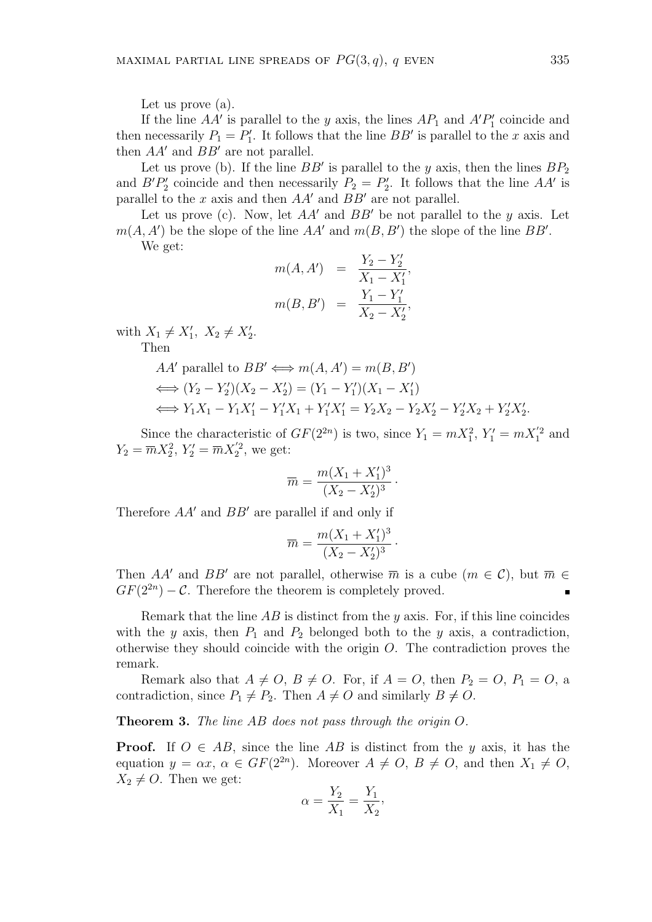Let us prove (a).

If the line  $AA'$  is parallel to the y axis, the lines  $AP_1$  and  $A'P'_1$  coincide and then necessarily  $P_1 = P'_1$ . It follows that the line  $BB'$  is parallel to the x axis and then  $AA'$  and  $BB'$  are not parallel.

Let us prove (b). If the line  $BB'$  is parallel to the y axis, then the lines  $BP_2$ and  $B'P'_2$  coincide and then necessarily  $P_2 = P'_2$ . It follows that the line AA' is parallel to the  $x$  axis and then  $AA'$  and  $BB'$  are not parallel.

Let us prove (c). Now, let  $AA'$  and  $BB'$  be not parallel to the y axis. Let  $m(A, A')$  be the slope of the line  $AA'$  and  $m(B, B')$  the slope of the line BB'.

We get:

$$
m(A, A') = \frac{Y_2 - Y_2'}{X_1 - X_1'},
$$
  

$$
m(B, B') = \frac{Y_1 - Y_1'}{X_2 - X_2'},
$$

with  $X_1 \neq X'_1$ ,  $X_2 \neq X'_2$ . Then

$$
AA' \text{ parallel to } BB' \Longleftrightarrow m(A, A') = m(B, B')
$$
  
\n
$$
\iff (Y_2 - Y_2')(X_2 - X_2') = (Y_1 - Y_1')(X_1 - X_1')
$$
  
\n
$$
\iff Y_1X_1 - Y_1X_1' - Y_1'X_1 + Y_1'X_1' = Y_2X_2 - Y_2X_2' - Y_2'X_2 + Y_2'X_2'.
$$

Since the characteristic of  $GF(2^{2n})$  is two, since  $Y_1 = mX_1^2$ ,  $Y_1' = mX_1'^2$  and  $Y_2 = \overline{m} X_2^2, Y_2' = \overline{m} X_2'^2$ , we get:

$$
\overline{m} = \frac{m(X_1 + X_1')^3}{(X_2 - X_2')^3}.
$$

Therefore  $AA'$  and  $BB'$  are parallel if and only if

$$
\overline{m} = \frac{m(X_1 + X_1')^3}{(X_2 - X_2')^3}.
$$

Then AA' and BB' are not parallel, otherwise  $\overline{m}$  is a cube  $(m \in \mathcal{C})$ , but  $\overline{m} \in$  $GF(2^{2n}) - C$ . Therefore the theorem is completely proved. Ĭ.

Remark that the line  $AB$  is distinct from the y axis. For, if this line coincides with the y axis, then  $P_1$  and  $P_2$  belonged both to the y axis, a contradiction, otherwise they should coincide with the origin  $O$ . The contradiction proves the remark.

Remark also that  $A \neq O$ ,  $B \neq O$ . For, if  $A = O$ , then  $P_2 = O$ ,  $P_1 = O$ , a contradiction, since  $P_1 \neq P_2$ . Then  $A \neq O$  and similarly  $B \neq O$ .

Theorem 3. The line AB does not pass through the origin O.

**Proof.** If  $O \in AB$ , since the line AB is distinct from the y axis, it has the equation  $y = \alpha x, \, \alpha \in GF(2^{2n})$ . Moreover  $A \neq O, \, B \neq O$ , and then  $X_1 \neq O$ ,  $X_2 \neq O$ . Then we get:

$$
\alpha = \frac{Y_2}{X_1} = \frac{Y_1}{X_2},
$$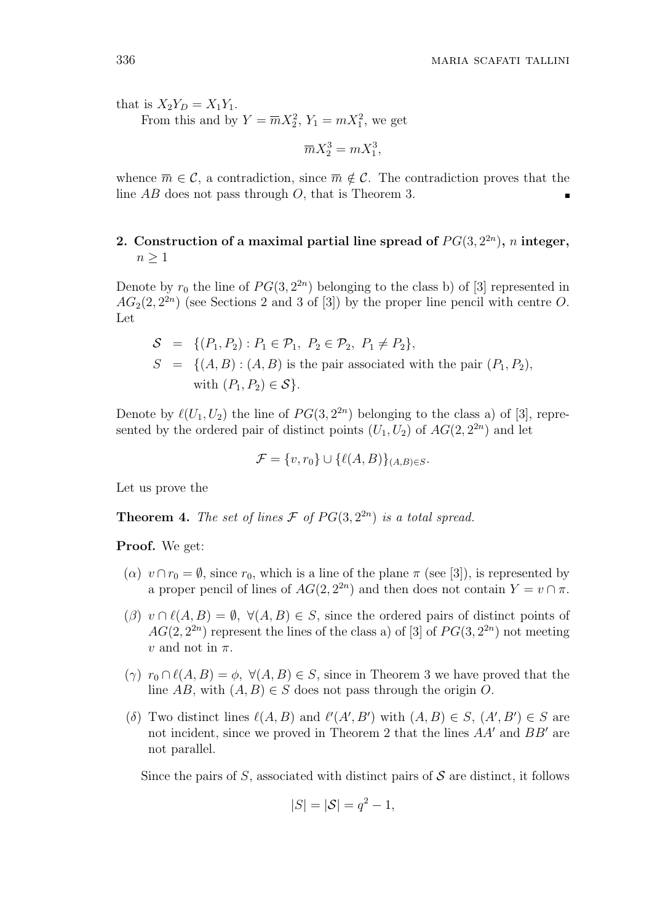that is  $X_2Y_D = X_1Y_1$ .

From this and by  $Y = \overline{m} X_2^2$ ,  $Y_1 = m X_1^2$ , we get

$$
\overline{m}X_{2}^{3}=mX_{1}^{3},
$$

whence  $\overline{m} \in \mathcal{C}$ , a contradiction, since  $\overline{m} \notin \mathcal{C}$ . The contradiction proves that the line AB does not pass through O, that is Theorem 3.

# 2. Construction of a maximal partial line spread of  $PG(3, 2^{2n})$ , n integer,  $n \geq 1$

Denote by  $r_0$  the line of  $PG(3, 2^{2n})$  belonging to the class b) of [3] represented in  $AG_2(2, 2^{2n})$  (see Sections 2 and 3 of [3]) by the proper line pencil with centre O. Let

$$
S = \{ (P_1, P_2) : P_1 \in \mathcal{P}_1, P_2 \in \mathcal{P}_2, P_1 \neq P_2 \},
$$
  
\n
$$
S = \{ (A, B) : (A, B) \text{ is the pair associated with the pair } (P_1, P_2),
$$
  
\nwith  $(P_1, P_2) \in S \}.$ 

Denote by  $\ell(U_1, U_2)$  the line of  $PG(3, 2^{2n})$  belonging to the class a) of [3], represented by the ordered pair of distinct points  $(U_1, U_2)$  of  $AG(2, 2^{2n})$  and let

$$
\mathcal{F} = \{v, r_0\} \cup \{\ell(A, B)\}_{(A, B) \in S}.
$$

Let us prove the

**Theorem 4.** The set of lines  $\mathcal F$  of  $PG(3, 2^{2n})$  is a total spread.

Proof. We get:

- (a)  $v \cap r_0 = \emptyset$ , since  $r_0$ , which is a line of the plane  $\pi$  (see [3]), is represented by a proper pencil of lines of  $AG(2, 2^{2n})$  and then does not contain  $Y = v \cap \pi$ .
- (β)  $v \cap \ell(A, B) = \emptyset$ ,  $\forall (A, B) \in S$ , since the ordered pairs of distinct points of  $AG(2, 2^{2n})$  represent the lines of the class a) of [3] of  $PG(3, 2^{2n})$  not meeting v and not in  $\pi$ .
- $(\gamma)$   $r_0 \cap \ell(A, B) = \phi$ ,  $\forall (A, B) \in S$ , since in Theorem 3 we have proved that the line AB, with  $(A, B) \in S$  does not pass through the origin O.
- (δ) Two distinct lines  $\ell(A, B)$  and  $\ell'(A', B')$  with  $(A, B) \in S$ ,  $(A', B') \in S$  are not incident, since we proved in Theorem 2 that the lines  $AA'$  and  $BB'$  are not parallel.

Since the pairs of S, associated with distinct pairs of  $S$  are distinct, it follows

$$
|S| = |\mathcal{S}| = q^2 - 1,
$$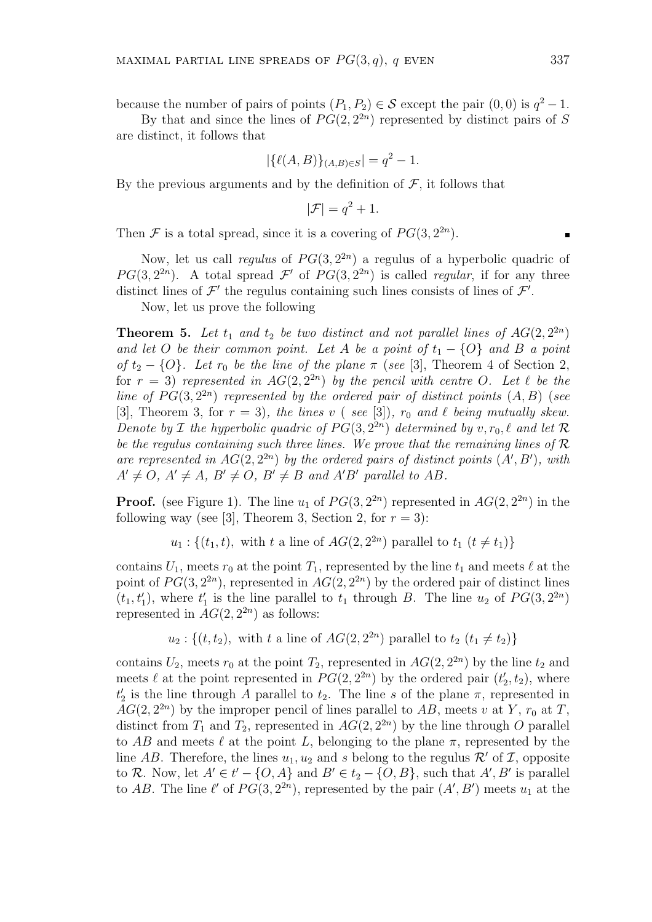because the number of pairs of points  $(P_1, P_2) \in S$  except the pair  $(0, 0)$  is  $q^2 - 1$ .

By that and since the lines of  $PG(2, 2^{2n})$  represented by distinct pairs of S are distinct, it follows that

$$
|\{\ell(A,B)\}_{(A,B)\in S}| = q^2 - 1.
$$

By the previous arguments and by the definition of  $\mathcal{F}$ , it follows that

$$
|\mathcal{F}| = q^2 + 1.
$$

Then  $\mathcal F$  is a total spread, since it is a covering of  $PG(3, 2^{2n})$ .

Now, let us call *regulus* of  $PG(3, 2^{2n})$  a regulus of a hyperbolic quadric of  $PG(3, 2^{2n})$ . A total spread F' of  $PG(3, 2^{2n})$  is called regular, if for any three distinct lines of  $\mathcal{F}'$  the regulus containing such lines consists of lines of  $\mathcal{F}'$ .

Now, let us prove the following

**Theorem 5.** Let  $t_1$  and  $t_2$  be two distinct and not parallel lines of  $AG(2, 2^{2n})$ and let O be their common point. Let A be a point of  $t_1 - \{O\}$  and B a point of  $t_2 - \{O\}$ . Let  $r_0$  be the line of the plane  $\pi$  (see [3], Theorem 4 of Section 2, for  $r = 3$ ) represented in  $AG(2, 2^{2n})$  by the pencil with centre O. Let  $\ell$  be the line of  $PG(3, 2^{2n})$  represented by the ordered pair of distinct points  $(A, B)$  (see [3], Theorem 3, for  $r = 3$ ), the lines v (see [3]),  $r_0$  and  $\ell$  being mutually skew. Denote by *I* the hyperbolic quadric of  $PG(3, 2^{2n})$  determined by  $v, r_0, \ell$  and let  $\mathcal{R}$ be the regulus containing such three lines. We prove that the remaining lines of  $\mathcal R$ are represented in  $AG(2, 2^{2n})$  by the ordered pairs of distinct points  $(A', B')$ , with  $A' \neq O$ ,  $A' \neq A$ ,  $B' \neq O$ ,  $B' \neq B$  and  $A'B'$  parallel to AB.

**Proof.** (see Figure 1). The line  $u_1$  of  $PG(3, 2^{2n})$  represented in  $AG(2, 2^{2n})$  in the following way (see [3], Theorem 3, Section 2, for  $r = 3$ ):

 $u_1: \{(t_1, t), \text{ with } t \text{ a line of } AG(2, 2^{2n}) \text{ parallel to } t_1 \ (t \neq t_1)\}\$ 

contains  $U_1$ , meets  $r_0$  at the point  $T_1$ , represented by the line  $t_1$  and meets  $\ell$  at the point of  $PG(3, 2^{2n})$ , represented in  $AG(2, 2^{2n})$  by the ordered pair of distinct lines  $(t_1, t'_1)$ , where  $t'_1$  is the line parallel to  $t_1$  through B. The line  $u_2$  of  $PG(3, 2^{2n})$ represented in  $AG(2, 2^{2n})$  as follows:

 $u_2: \{(t, t_2), \text{ with } t \text{ a line of } AG(2, 2^{2n}) \text{ parallel to } t_2 \ (t_1 \neq t_2) \}$ 

contains  $U_2$ , meets  $r_0$  at the point  $T_2$ , represented in  $AG(2, 2^{2n})$  by the line  $t_2$  and meets  $\ell$  at the point represented in  $PG(2, 2^{2n})$  by the ordered pair  $(t'_2, t_2)$ , where  $t_2'$  is the line through A parallel to  $t_2$ . The line s of the plane  $\pi$ , represented in  $AG(2, 2^{2n})$  by the improper pencil of lines parallel to AB, meets v at Y,  $r_0$  at T, distinct from  $T_1$  and  $T_2$ , represented in  $AG(2, 2^{2n})$  by the line through O parallel to AB and meets  $\ell$  at the point L, belonging to the plane  $\pi$ , represented by the line AB. Therefore, the lines  $u_1, u_2$  and s belong to the regulus  $\mathcal{R}'$  of  $\mathcal{I}$ , opposite to R. Now, let  $A' \in t' - \{O, A\}$  and  $B' \in t_2 - \{O, B\}$ , such that  $A', B'$  is parallel to AB. The line  $\ell'$  of  $PG(3, 2^{2n})$ , represented by the pair  $(A', B')$  meets  $u_1$  at the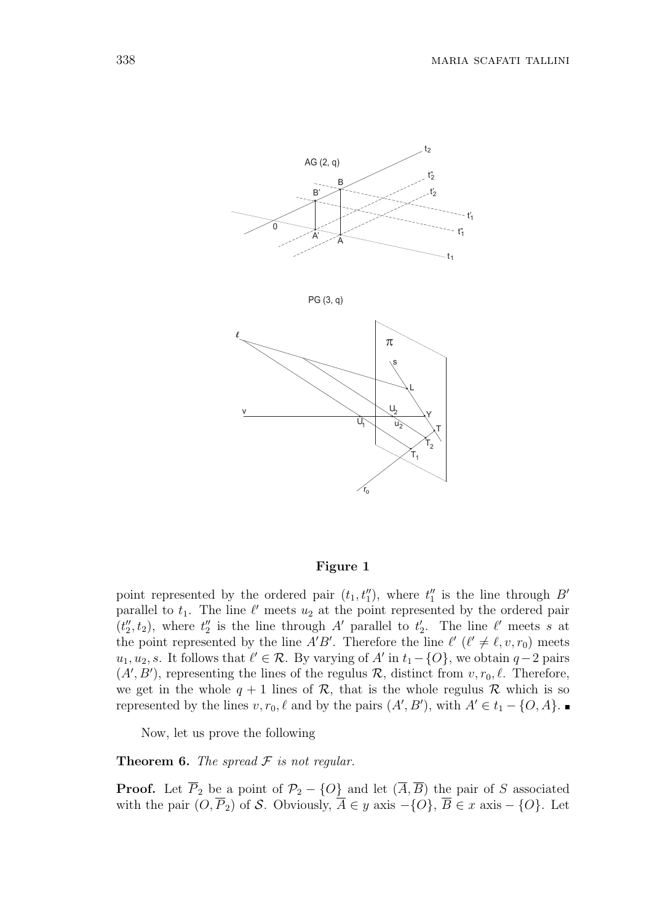

### Figure 1

point represented by the ordered pair  $(t_1, t_1'')$ , where  $t_1''$  is the line through B' parallel to  $t_1$ . The line  $\ell'$  meets  $u_2$  at the point represented by the ordered pair  $(t_2'', t_2)$ , where  $t_2''$  is the line through A' parallel to  $t_2'$ . The line  $\ell'$  meets s at the point represented by the line A'B'. Therefore the line  $\ell'$  ( $\ell' \neq \ell, v, r_0$ ) meets  $u_1, u_2, s$ . It follows that  $\ell' \in \mathcal{R}$ . By varying of A' in  $t_1 - \{O\}$ , we obtain  $q-2$  pairs  $(A', B')$ , representing the lines of the regulus  $\mathcal{R}$ , distinct from  $v, r_0, \ell$ . Therefore, we get in the whole  $q + 1$  lines of R, that is the whole regulus R which is so represented by the lines  $v, r_0, \ell$  and by the pairs  $(A', B')$ , with  $A' \in t_1 - \{O, A\}$ .

Now, let us prove the following

**Theorem 6.** The spread  $F$  is not regular.

**Proof.** Let  $\overline{P}_2$  be a point of  $\mathcal{P}_2 - \{O\}$  and let  $(\overline{A}, \overline{B})$  the pair of S associated with the pair  $(O, \overline{P}_2)$  of S. Obviously,  $\overline{A} \in y$  axis  $-\{O\}$ ,  $\overline{B} \in x$  axis  $-\{O\}$ . Let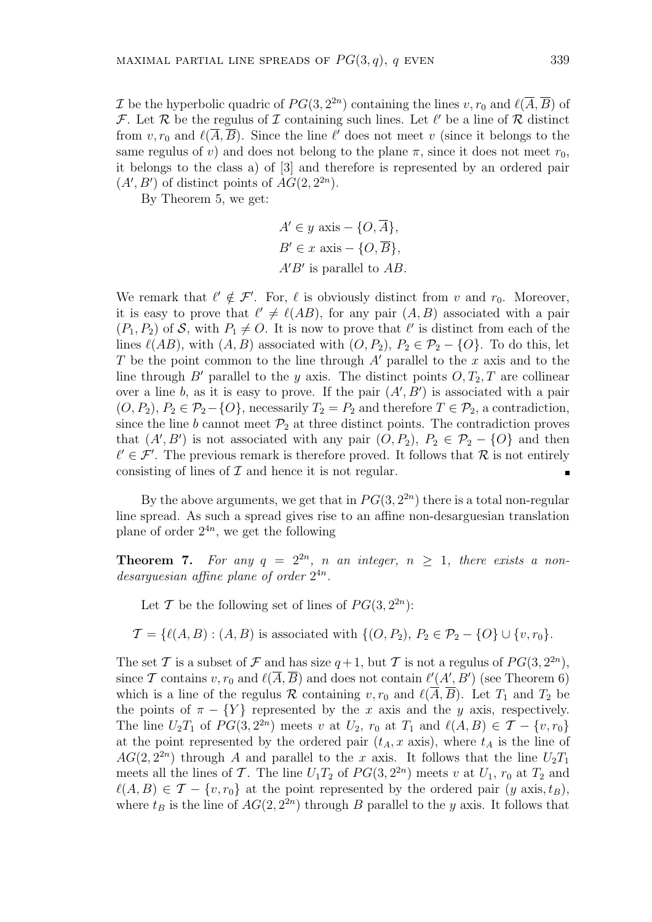*I* be the hyperbolic quadric of  $PG(3, 2^{2n})$  containing the lines  $v, r_0$  and  $\ell(\overline{A}, \overline{B})$  of F. Let R be the regulus of I containing such lines. Let  $\ell'$  be a line of R distinct from  $v, r_0$  and  $\ell(\overline{A}, \overline{B})$ . Since the line  $\ell'$  does not meet v (since it belongs to the same regulus of v) and does not belong to the plane  $\pi$ , since it does not meet  $r_0$ , it belongs to the class a) of [3] and therefore is represented by an ordered pair  $(A', B')$  of distinct points of  $AG(2, 2^{2n})$ .

By Theorem 5, we get:

$$
A' \in y \text{ axis } -\{O, \overline{A}\},
$$
  

$$
B' \in x \text{ axis } -\{O, \overline{B}\},
$$
  

$$
A'B' \text{ is parallel to } AB.
$$

We remark that  $\ell' \notin \mathcal{F}'$ . For,  $\ell$  is obviously distinct from v and  $r_0$ . Moreover, it is easy to prove that  $\ell' \neq \ell(AB)$ , for any pair  $(A, B)$  associated with a pair  $(P_1, P_2)$  of S, with  $P_1 \neq O$ . It is now to prove that  $\ell'$  is distinct from each of the lines  $\ell(AB)$ , with  $(A, B)$  associated with  $(O, P_2), P_2 \in \mathcal{P}_2 - \{O\}$ . To do this, let T be the point common to the line through  $A'$  parallel to the x axis and to the line through B' parallel to the y axis. The distinct points  $O, T_2, T$  are collinear over a line b, as it is easy to prove. If the pair  $(A', B')$  is associated with a pair  $(O, P_2), P_2 \in \mathcal{P}_2-\{O\}$ , necessarily  $T_2 = P_2$  and therefore  $T \in \mathcal{P}_2$ , a contradiction, since the line b cannot meet  $\mathcal{P}_2$  at three distinct points. The contradiction proves that  $(A', B')$  is not associated with any pair  $(O, P_2), P_2 \in \mathcal{P}_2 - \{O\}$  and then  $\ell' \in \mathcal{F}'$ . The previous remark is therefore proved. It follows that R is not entirely consisting of lines of  $\mathcal I$  and hence it is not regular.  $\blacksquare$ 

By the above arguments, we get that in  $PG(3, 2^{2n})$  there is a total non-regular line spread. As such a spread gives rise to an affine non-desarguesian translation plane of order  $2^{4n}$ , we get the following

**Theorem 7.** For any  $q = 2^{2n}$ , n an integer,  $n \geq 1$ , there exists a nondesarguesian affine plane of order  $2^{4n}$ .

Let T be the following set of lines of  $PG(3, 2^{2n})$ :

 $\mathcal{T} = \{ \ell(A, B) : (A, B) \text{ is associated with } \{ (O, P_2), P_2 \in \mathcal{P}_2 - \{O\} \cup \{v, r_0\}.$ 

The set T is a subset of F and has size  $q+1$ , but T is not a regulus of  $PG(3, 2^{2n})$ , since T contains  $v, r_0$  and  $\ell(\overline{A}, \overline{B})$  and does not contain  $\ell'(A', B')$  (see Theorem 6) which is a line of the regulus R containing  $v, r_0$  and  $\ell(\overline{A}, \overline{B})$ . Let  $T_1$  and  $T_2$  be the points of  $\pi - \{Y\}$  represented by the x axis and the y axis, respectively. The line  $U_2T_1$  of  $PG(3, 2^{2n})$  meets v at  $U_2$ ,  $r_0$  at  $T_1$  and  $\ell(A, B) \in \mathcal{T} - \{v, r_0\}$ at the point represented by the ordered pair  $(t_A, x \text{ axis})$ , where  $t_A$  is the line of  $AG(2, 2^{2n})$  through A and parallel to the x axis. It follows that the line  $U_2T_1$ meets all the lines of T. The line  $U_1T_2$  of  $PG(3, 2^{2n})$  meets v at  $U_1$ ,  $r_0$  at  $T_2$  and  $\ell(A, B) \in \mathcal{T} - \{v, r_0\}$  at the point represented by the ordered pair  $(y \text{ axis}, t_B)$ , where  $t_B$  is the line of  $AG(2, 2^{2n})$  through B parallel to the y axis. It follows that